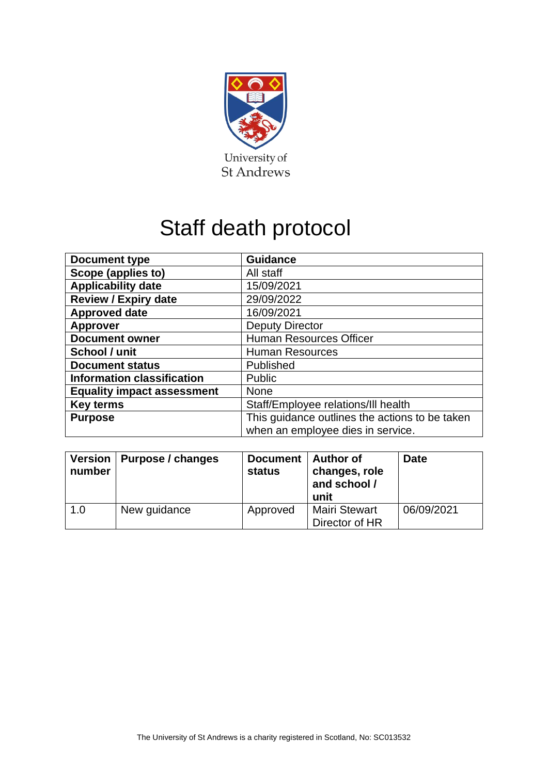

# Staff death protocol

| <b>Document type</b>              | <b>Guidance</b>                                |  |
|-----------------------------------|------------------------------------------------|--|
| Scope (applies to)                | All staff                                      |  |
| <b>Applicability date</b>         | 15/09/2021                                     |  |
| <b>Review / Expiry date</b>       | 29/09/2022                                     |  |
| <b>Approved date</b>              | 16/09/2021                                     |  |
| <b>Approver</b>                   | <b>Deputy Director</b>                         |  |
| <b>Document owner</b>             | <b>Human Resources Officer</b>                 |  |
| School / unit                     | <b>Human Resources</b>                         |  |
| <b>Document status</b>            | Published                                      |  |
| <b>Information classification</b> | <b>Public</b>                                  |  |
| <b>Equality impact assessment</b> | <b>None</b>                                    |  |
| <b>Key terms</b>                  | Staff/Employee relations/III health            |  |
| <b>Purpose</b>                    | This guidance outlines the actions to be taken |  |
|                                   | when an employee dies in service.              |  |

| <b>Version</b><br>number | Purpose / changes | Document  <br>status | <b>Author of</b><br>changes, role<br>and school /<br>unit | <b>Date</b> |
|--------------------------|-------------------|----------------------|-----------------------------------------------------------|-------------|
| 1.0                      | New guidance      | Approved             | <b>Mairi Stewart</b><br>Director of HR                    | 06/09/2021  |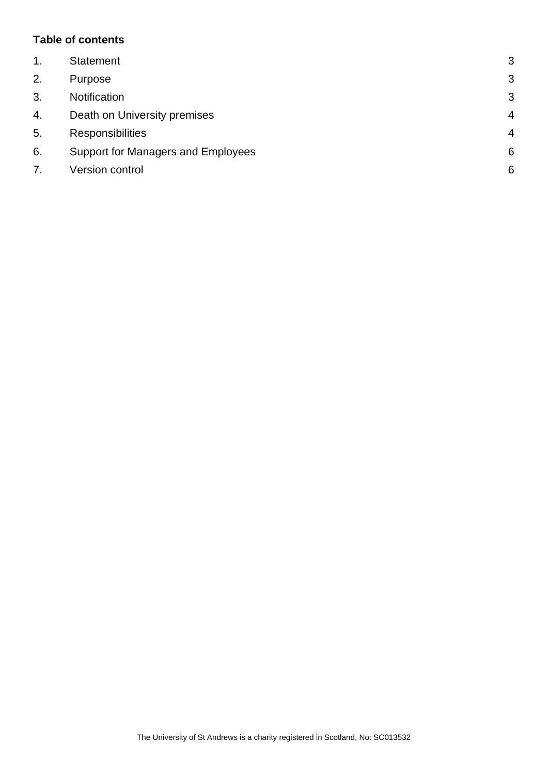#### **Table of contents**

| $\mathbf 1$ . | <b>Statement</b>                   | 3              |
|---------------|------------------------------------|----------------|
| 2.            | Purpose                            | 3              |
| 3.            | Notification                       | 3              |
| 4.            | Death on University premises       | 4              |
| 5.            | Responsibilities                   | $\overline{4}$ |
| 6.            | Support for Managers and Employees | 6              |
| 7.            | Version control                    | 6              |
|               |                                    |                |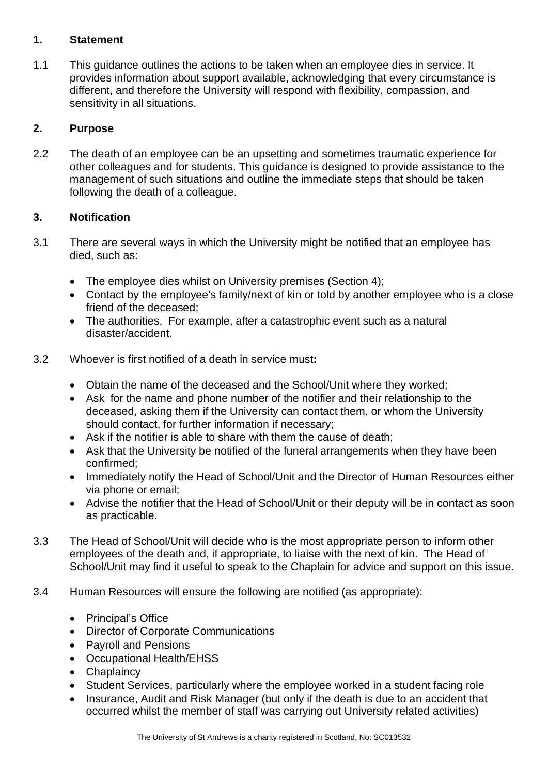#### <span id="page-2-0"></span>**1. Statement**

1.1 This guidance outlines the actions to be taken when an employee dies in service. It provides information about support available, acknowledging that every circumstance is different, and therefore the University will respond with flexibility, compassion, and sensitivity in all situations.

#### <span id="page-2-1"></span>**2. Purpose**

2.2 The death of an employee can be an upsetting and sometimes traumatic experience for other colleagues and for students. This guidance is designed to provide assistance to the management of such situations and outline the immediate steps that should be taken following the death of a colleague.

#### <span id="page-2-2"></span>**3. Notification**

- 3.1 There are several ways in which the University might be notified that an employee has died, such as:
	- The employee dies whilst on University premises (Section 4);
	- Contact by the employee's family/next of kin or told by another employee who is a close friend of the deceased;
	- The authorities. For example, after a catastrophic event such as a natural disaster/accident.
- 3.2 Whoever is first notified of a death in service must**:**
	- Obtain the name of the deceased and the School/Unit where they worked;
	- Ask for the name and phone number of the notifier and their relationship to the deceased, asking them if the University can contact them, or whom the University should contact, for further information if necessary;
	- Ask if the notifier is able to share with them the cause of death;
	- Ask that the University be notified of the funeral arrangements when they have been confirmed;
	- Immediately notify the Head of School/Unit and the Director of Human Resources either via phone or email;
	- Advise the notifier that the Head of School/Unit or their deputy will be in contact as soon as practicable.
- 3.3 The Head of School/Unit will decide who is the most appropriate person to inform other employees of the death and, if appropriate, to liaise with the next of kin. The Head of School/Unit may find it useful to speak to the Chaplain for advice and support on this issue.
- 3.4 Human Resources will ensure the following are notified (as appropriate):
	- Principal's Office
	- Director of Corporate Communications
	- Payroll and Pensions
	- Occupational Health/EHSS
	- Chaplaincy
	- Student Services, particularly where the employee worked in a student facing role
	- Insurance, Audit and Risk Manager (but only if the death is due to an accident that occurred whilst the member of staff was carrying out University related activities)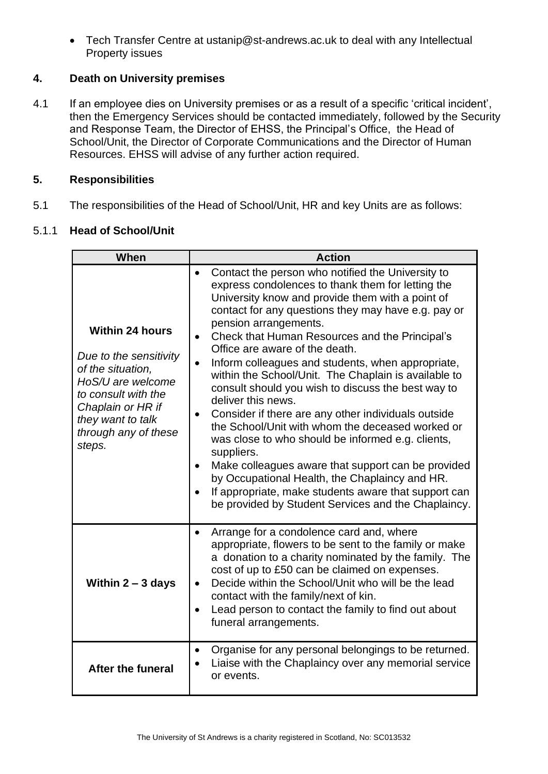• Tech Transfer Centre at [ustanip@st-andrews.ac.uk](mailto:ustanip@st-andrews.ac.uk) to deal with any Intellectual Property issues

## <span id="page-3-0"></span>**4. Death on University premises**

4.1 If an employee dies on University premises or as a result of a specific 'critical incident', then the Emergency Services should be contacted immediately, followed by the Security and Response Team, the Director of EHSS, the Principal's Office, the Head of School/Unit, the Director of Corporate Communications and the Director of Human Resources. EHSS will advise of any further action required.

#### <span id="page-3-1"></span>**5. Responsibilities**

5.1 The responsibilities of the Head of School/Unit, HR and key Units are as follows:

#### 5.1.1 **Head of School/Unit**

| When                                                                                                                                                                                          | <b>Action</b>                                                                                                                                                                                                                                                                                                                                                                                                                                                                                                                                                                                                                                                                                                                                                                                                                                                                                                                                                                                              |
|-----------------------------------------------------------------------------------------------------------------------------------------------------------------------------------------------|------------------------------------------------------------------------------------------------------------------------------------------------------------------------------------------------------------------------------------------------------------------------------------------------------------------------------------------------------------------------------------------------------------------------------------------------------------------------------------------------------------------------------------------------------------------------------------------------------------------------------------------------------------------------------------------------------------------------------------------------------------------------------------------------------------------------------------------------------------------------------------------------------------------------------------------------------------------------------------------------------------|
| <b>Within 24 hours</b><br>Due to the sensitivity<br>of the situation,<br>HoS/U are welcome<br>to consult with the<br>Chaplain or HR if<br>they want to talk<br>through any of these<br>steps. | Contact the person who notified the University to<br>$\bullet$<br>express condolences to thank them for letting the<br>University know and provide them with a point of<br>contact for any questions they may have e.g. pay or<br>pension arrangements.<br>Check that Human Resources and the Principal's<br>$\bullet$<br>Office are aware of the death.<br>Inform colleagues and students, when appropriate,<br>$\bullet$<br>within the School/Unit. The Chaplain is available to<br>consult should you wish to discuss the best way to<br>deliver this news.<br>Consider if there are any other individuals outside<br>$\bullet$<br>the School/Unit with whom the deceased worked or<br>was close to who should be informed e.g. clients,<br>suppliers.<br>Make colleagues aware that support can be provided<br>$\bullet$<br>by Occupational Health, the Chaplaincy and HR.<br>If appropriate, make students aware that support can<br>$\bullet$<br>be provided by Student Services and the Chaplaincy. |
| Within $2 - 3$ days                                                                                                                                                                           | Arrange for a condolence card and, where<br>$\bullet$<br>appropriate, flowers to be sent to the family or make<br>a donation to a charity nominated by the family. The<br>cost of up to £50 can be claimed on expenses.<br>Decide within the School/Unit who will be the lead<br>$\bullet$<br>contact with the family/next of kin.<br>Lead person to contact the family to find out about<br>$\bullet$<br>funeral arrangements.                                                                                                                                                                                                                                                                                                                                                                                                                                                                                                                                                                            |
| <b>After the funeral</b>                                                                                                                                                                      | Organise for any personal belongings to be returned.<br>$\bullet$<br>Liaise with the Chaplaincy over any memorial service<br>$\bullet$<br>or events.                                                                                                                                                                                                                                                                                                                                                                                                                                                                                                                                                                                                                                                                                                                                                                                                                                                       |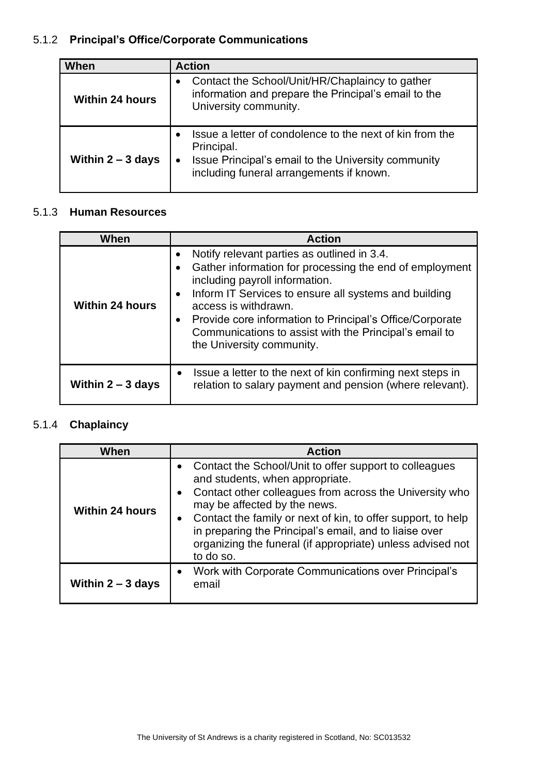## 5.1.2 **Principal's Office/Corporate Communications**

| When                   | <b>Action</b>                                                                                                                                                             |
|------------------------|---------------------------------------------------------------------------------------------------------------------------------------------------------------------------|
| <b>Within 24 hours</b> | Contact the School/Unit/HR/Chaplaincy to gather<br>information and prepare the Principal's email to the<br>University community.                                          |
| Within $2 - 3$ days    | Issue a letter of condolence to the next of kin from the<br>Principal.<br>Issue Principal's email to the University community<br>including funeral arrangements if known. |

#### 5.1.3 **Human Resources**

| When                   | <b>Action</b>                                                                                                                                                                                                                                                                                                                                                                |  |  |
|------------------------|------------------------------------------------------------------------------------------------------------------------------------------------------------------------------------------------------------------------------------------------------------------------------------------------------------------------------------------------------------------------------|--|--|
| <b>Within 24 hours</b> | Notify relevant parties as outlined in 3.4.<br>Gather information for processing the end of employment<br>including payroll information.<br>Inform IT Services to ensure all systems and building<br>access is withdrawn.<br>Provide core information to Principal's Office/Corporate<br>Communications to assist with the Principal's email to<br>the University community. |  |  |
| Within $2 - 3$ days    | Issue a letter to the next of kin confirming next steps in<br>relation to salary payment and pension (where relevant).                                                                                                                                                                                                                                                       |  |  |

# 5.1.4 **Chaplaincy**

| When                   | <b>Action</b>                                                                                                                                                                                                                                                                                                                                                                                                       |  |  |
|------------------------|---------------------------------------------------------------------------------------------------------------------------------------------------------------------------------------------------------------------------------------------------------------------------------------------------------------------------------------------------------------------------------------------------------------------|--|--|
| <b>Within 24 hours</b> | Contact the School/Unit to offer support to colleagues<br>and students, when appropriate.<br>Contact other colleagues from across the University who<br>$\bullet$<br>may be affected by the news.<br>Contact the family or next of kin, to offer support, to help<br>$\bullet$<br>in preparing the Principal's email, and to liaise over<br>organizing the funeral (if appropriate) unless advised not<br>to do so. |  |  |
| Within $2 - 3$ days    | Work with Corporate Communications over Principal's<br>$\bullet$<br>email                                                                                                                                                                                                                                                                                                                                           |  |  |